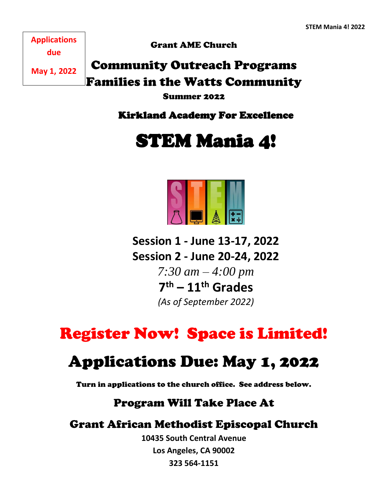**Applications due** 

Grant AME Church

**May 1, 2022**

Community Outreach Programs Families in the Watts Community

Summer 2022

Kirkland Academy For Excellence

STEM Mania 4!



**Session 1 - June 13-17, 2022 Session 2 - June 20-24, 2022** *7:30 am – 4:00 pm* **7 th – 11th Grades** *(As of September 2022)*

Register Now! Space is Limited!

# Applications Due: May 1, 2022

Turn in applications to the church office. See address below.

# Program Will Take Place At

# Grant African Methodist Episcopal Church

**10435 South Central Avenue Los Angeles, CA 90002 323 564-1151**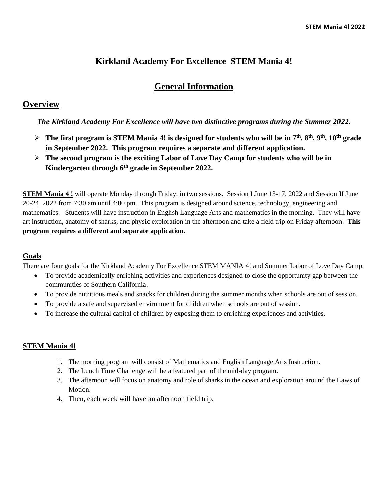## **Kirkland Academy For Excellence STEM Mania 4!**

## **General Information**

### **Overview**

#### *The Kirkland Academy For Excellence will have two distinctive programs during the Summer 2022.*

- ➢ **The first program is STEM Mania 4! is designed for students who will be in 7th, 8th, 9th, 10th grade in September 2022. This program requires a separate and different application.**
- ➢ **The second program is the exciting Labor of Love Day Camp for students who will be in Kindergarten through 6th grade in September 2022.**

**STEM Mania 4 !** will operate Monday through Friday, in two sessions. Session I June 13-17, 2022 and Session II June 20-24, 2022 from 7:30 am until 4:00 pm. This program is designed around science, technology, engineering and mathematics. Students will have instruction in English Language Arts and mathematics in the morning. They will have art instruction, anatomy of sharks, and physic exploration in the afternoon and take a field trip on Friday afternoon. **This program requires a different and separate application.**

#### **Goals**

There are four goals for the Kirkland Academy For Excellence STEM MANIA 4! and Summer Labor of Love Day Camp.

- To provide academically enriching activities and experiences designed to close the opportunity gap between the communities of Southern California.
- To provide nutritious meals and snacks for children during the summer months when schools are out of session.
- To provide a safe and supervised environment for children when schools are out of session.
- To increase the cultural capital of children by exposing them to enriching experiences and activities.

#### **STEM Mania 4!**

- 1. The morning program will consist of Mathematics and English Language Arts Instruction.
- 2. The Lunch Time Challenge will be a featured part of the mid-day program.
- 3. The afternoon will focus on anatomy and role of sharks in the ocean and exploration around the Laws of Motion.
- 4. Then, each week will have an afternoon field trip.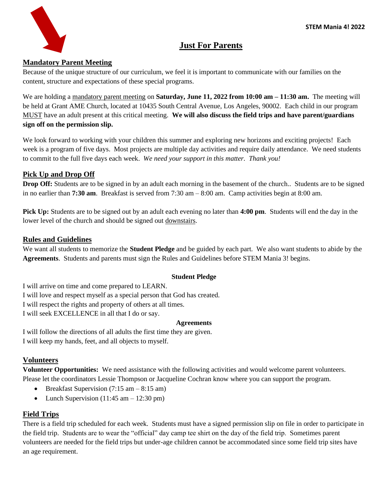

# **Just For Parents**

#### **Mandatory Parent Meeting**

Because of the unique structure of our curriculum, we feel it is important to communicate with our families on the content, structure and expectations of these special programs.

We are holding a mandatory parent meeting on **Saturday, June 11, 2022 from 10:00 am – 11:30 am.** The meeting will be held at Grant AME Church, located at 10435 South Central Avenue, Los Angeles, 90002. Each child in our program MUST have an adult present at this critical meeting. **We will also discuss the field trips and have parent/guardians sign off on the permission slip.** 

We look forward to working with your children this summer and exploring new horizons and exciting projects! Each week is a program of five days. Most projects are multiple day activities and require daily attendance. We need students to commit to the full five days each week. *We need your support in this matter. Thank you!*

#### **Pick Up and Drop Off**

**Drop Off:** Students are to be signed in by an adult each morning in the basement of the church.. Students are to be signed in no earlier than **7:30 am**. Breakfast is served from 7:30 am – 8:00 am. Camp activities begin at 8:00 am.

**Pick Up:** Students are to be signed out by an adult each evening no later than **4:00 pm**. Students will end the day in the lower level of the church and should be signed out downstairs.

#### **Rules and Guidelines**

We want all students to memorize the **Student Pledge** and be guided by each part. We also want students to abide by the **Agreements**. Students and parents must sign the Rules and Guidelines before STEM Mania 3! begins.

#### **Student Pledge**

I will arrive on time and come prepared to LEARN.

I will love and respect myself as a special person that God has created.

I will respect the rights and property of others at all times.

I will seek EXCELLENCE in all that I do or say.

#### **Agreements**

I will follow the directions of all adults the first time they are given. I will keep my hands, feet, and all objects to myself.

#### **Volunteers**

**Volunteer Opportunities:** We need assistance with the following activities and would welcome parent volunteers. Please let the coordinators Lessie Thompson or Jacqueline Cochran know where you can support the program.

- Breakfast Supervision  $(7:15 \text{ am} 8:15 \text{ am})$
- Lunch Supervision  $(11:45 \text{ am} 12:30 \text{ pm})$

#### **Field Trips**

There is a field trip scheduled for each week. Students must have a signed permission slip on file in order to participate in the field trip. Students are to wear the "official" day camp tee shirt on the day of the field trip. Sometimes parent volunteers are needed for the field trips but under-age children cannot be accommodated since some field trip sites have an age requirement.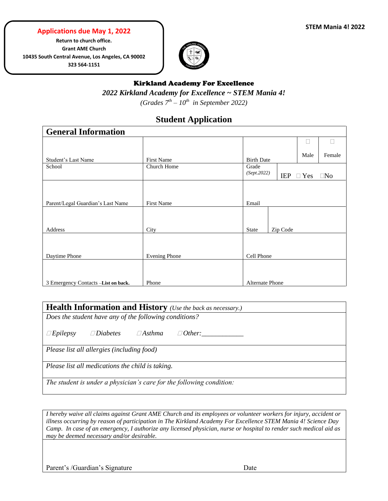#### **Applications due May 1, 2022**

**Return to church office. Grant AME Church 10435 South Central Avenue, Los Angeles, CA 90002 323 564-1151**



### Kirkland Academy For Excellence *2022 Kirkland Academy for Excellence ~ STEM Mania 4! (Grades 7th – 10th in September 2022)*

# **Student Application**

| <b>General Information</b>          |                      |                      |            |            |           |  |  |
|-------------------------------------|----------------------|----------------------|------------|------------|-----------|--|--|
|                                     |                      |                      |            | L          |           |  |  |
| Student's Last Name                 | <b>First Name</b>    | <b>Birth Date</b>    |            | Male       | Female    |  |  |
| School                              | Church Home          | Grade<br>(Sept.2022) | <b>IEP</b> | $\Box$ Yes | $\Box$ No |  |  |
|                                     |                      |                      |            |            |           |  |  |
| Parent/Legal Guardian's Last Name   | <b>First Name</b>    | Email                |            |            |           |  |  |
| Address                             | City                 | <b>State</b>         | Zip Code   |            |           |  |  |
| Daytime Phone                       | <b>Evening Phone</b> | Cell Phone           |            |            |           |  |  |
|                                     |                      |                      |            |            |           |  |  |
| 3 Emergency Contacts -List on back. | Phone                | Alternate Phone      |            |            |           |  |  |

| <b>Health Information and History</b> (Use the back as necessary.)   |  |  |  |  |
|----------------------------------------------------------------------|--|--|--|--|
| Does the student have any of the following conditions?               |  |  |  |  |
| $\Box$ Diabetes<br>$\Box$ Epilepsy<br>$\Box$ Asthma<br>$\Box$ Other: |  |  |  |  |
| Please list all allergies (including food)                           |  |  |  |  |
| Please list all medications the child is taking.                     |  |  |  |  |
| The student is under a physician's care for the following condition: |  |  |  |  |

*I hereby waive all claims against Grant AME Church and its employees or volunteer workers for injury, accident or illness occurring by reason of participation in The Kirkland Academy For Excellence STEM Mania 4! Science Day Camp. In case of an emergency, I authorize any licensed physician, nurse or hospital to render such medical aid as may be deemed necessary and/or desirable.*

Parent's /Guardian's Signature Date